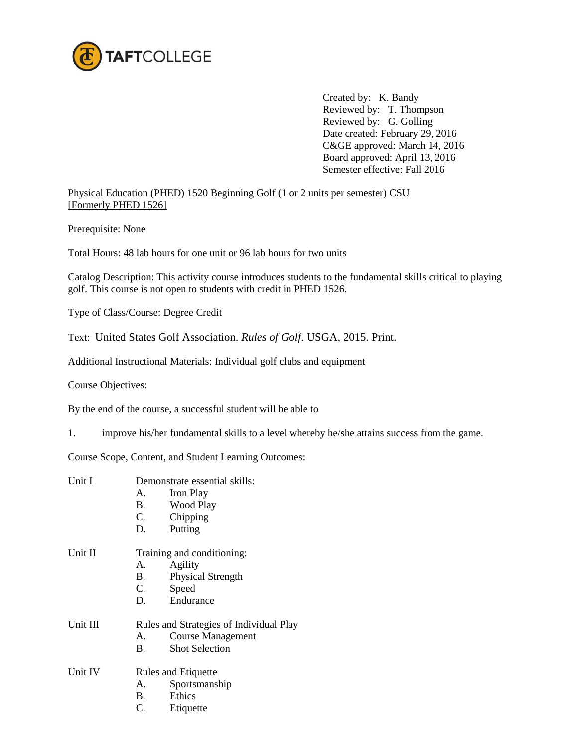

Created by: K. Bandy Reviewed by: T. Thompson Reviewed by: G. Golling Date created: February 29, 2016 C&GE approved: March 14, 2016 Board approved: April 13, 2016 Semester effective: Fall 2016

Physical Education (PHED) 1520 Beginning Golf (1 or 2 units per semester) CSU [Formerly PHED 1526]

Prerequisite: None

Total Hours: 48 lab hours for one unit or 96 lab hours for two units

Catalog Description: This activity course introduces students to the fundamental skills critical to playing golf. This course is not open to students with credit in PHED 1526.

Type of Class/Course: Degree Credit

Text: United States Golf Association. *Rules of Golf*. USGA, 2015. Print.

Additional Instructional Materials: Individual golf clubs and equipment

Course Objectives:

By the end of the course, a successful student will be able to

1. improve his/her fundamental skills to a level whereby he/she attains success from the game.

Course Scope, Content, and Student Learning Outcomes:

| Unit I   |                                         | Demonstrate essential skills: |  |
|----------|-----------------------------------------|-------------------------------|--|
|          | A.                                      | Iron Play                     |  |
|          | <b>B.</b>                               | Wood Play                     |  |
|          | C.                                      | Chipping                      |  |
|          | D.                                      | Putting                       |  |
| Unit II  | Training and conditioning:              |                               |  |
|          | A.                                      | Agility                       |  |
|          | <b>B.</b>                               | <b>Physical Strength</b>      |  |
|          |                                         | C. Speed                      |  |
|          |                                         | D. Endurance                  |  |
| Unit III | Rules and Strategies of Individual Play |                               |  |
|          | A.                                      | <b>Course Management</b>      |  |
|          | <b>B.</b>                               | <b>Shot Selection</b>         |  |
| Unit IV  | <b>Rules and Etiquette</b>              |                               |  |
|          | A.                                      | Sportsmanship                 |  |
|          | <b>B.</b>                               | Ethics                        |  |
|          |                                         |                               |  |

C. Etiquette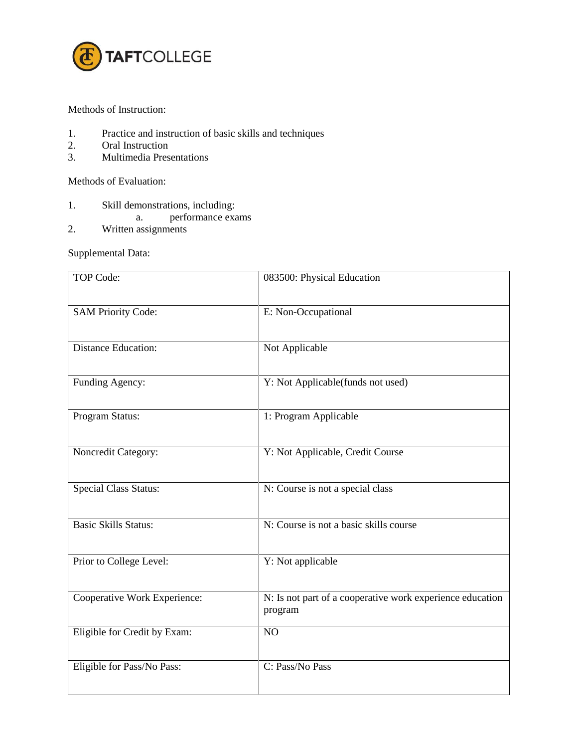

Methods of Instruction:

- 1. Practice and instruction of basic skills and techniques
- 2. Oral Instruction
- 3. Multimedia Presentations

Methods of Evaluation:

- 1. Skill demonstrations, including:
	- a. performance exams
- 2. Written assignments

Supplemental Data:

| TOP Code:                    | 083500: Physical Education                                           |
|------------------------------|----------------------------------------------------------------------|
| <b>SAM Priority Code:</b>    | E: Non-Occupational                                                  |
| <b>Distance Education:</b>   | Not Applicable                                                       |
| Funding Agency:              | Y: Not Applicable(funds not used)                                    |
| Program Status:              | 1: Program Applicable                                                |
| Noncredit Category:          | Y: Not Applicable, Credit Course                                     |
| <b>Special Class Status:</b> | N: Course is not a special class                                     |
| <b>Basic Skills Status:</b>  | N: Course is not a basic skills course                               |
| Prior to College Level:      | Y: Not applicable                                                    |
| Cooperative Work Experience: | N: Is not part of a cooperative work experience education<br>program |
| Eligible for Credit by Exam: | NO                                                                   |
| Eligible for Pass/No Pass:   | C: Pass/No Pass                                                      |